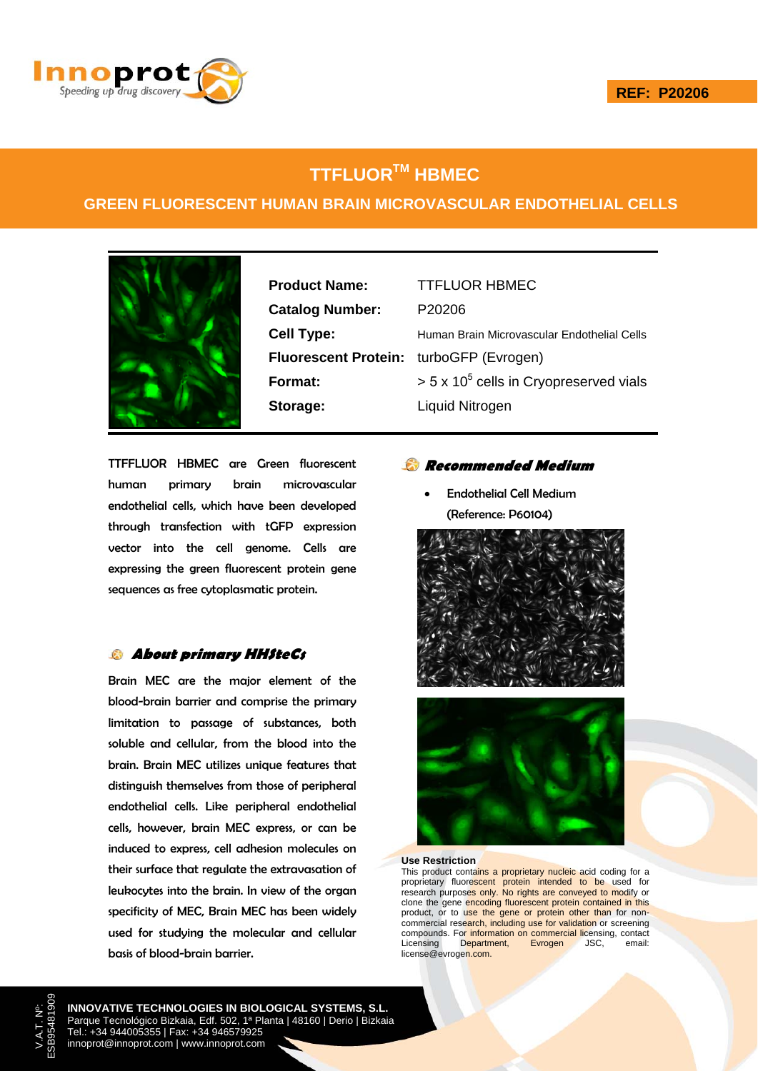

# **TTFLUORTM HBMEC**

### **GREEN FLUORESCENT HUMAN BRAIN MICROVASCULAR ENDOTHELIAL CELLS**



**Product Name:** TTFLUOR HBMEC **Catalog Number:** P20206 **Fluorescent Protein:** turboGFP (Evrogen) **Storage:** Liquid Nitrogen

**Cell Type:** Human Brain Microvascular Endothelial Cells **Format:**  $> 5 \times 10^5$  cells in Cryopreserved vials

TTFFLUOR HBMEC are Green fluorescent human primary brain microvascular endothelial cells, which have been developed through transfection with tGFP expression vector into the cell genome. Cells are expressing the green fluorescent protein gene sequences as free cytoplasmatic protein.

### **About primary HHSteCs**

Brain MEC are the major element of the blood-brain barrier and comprise the primary limitation to passage of substances, both soluble and cellular, from the blood into the brain. Brain MEC utilizes unique features that distinguish themselves from those of peripheral endothelial cells. Like peripheral endothelial cells, however, brain MEC express, or can be induced to express, cell adhesion molecules on their surface that regulate the extravasation of leukocytes into the brain. In view of the organ specificity of MEC, Brain MEC has been widely used for studying the molecular and cellular basis of blood-brain barrier.

### **Recommended Medium**

• Endothelial Cell Medium (Reference: P60104)





#### **Use Restriction**

This product contains a proprietary nucleic acid coding for a proprietary fluorescent protein intended to be used for research purposes only. No rights are conveyed to modify or clone the gene encoding fluorescent protein contained in this product, or to use the gene or protein other than for noncommercial research, including use for validation or screening compounds. For information on commercial licensing, contact<br>Licensing Department, Evrogen JSC, email: Licensing Department, Evrogen JSC, email: license@evrogen.com.

**INNOVATIVE TECHNOLOGIES IN BIOLOGICAL SYSTEMS, S.L.** Parque Tecnológico Bizkaia, Edf. 502, 1ª Planta | 48160 | Derio | Bizkaia Tel.: +34 944005355 | Fax: +34 946579925 innoprot@innoprot.com | www.innoprot.com

V.A.T. Nº: ESB95481909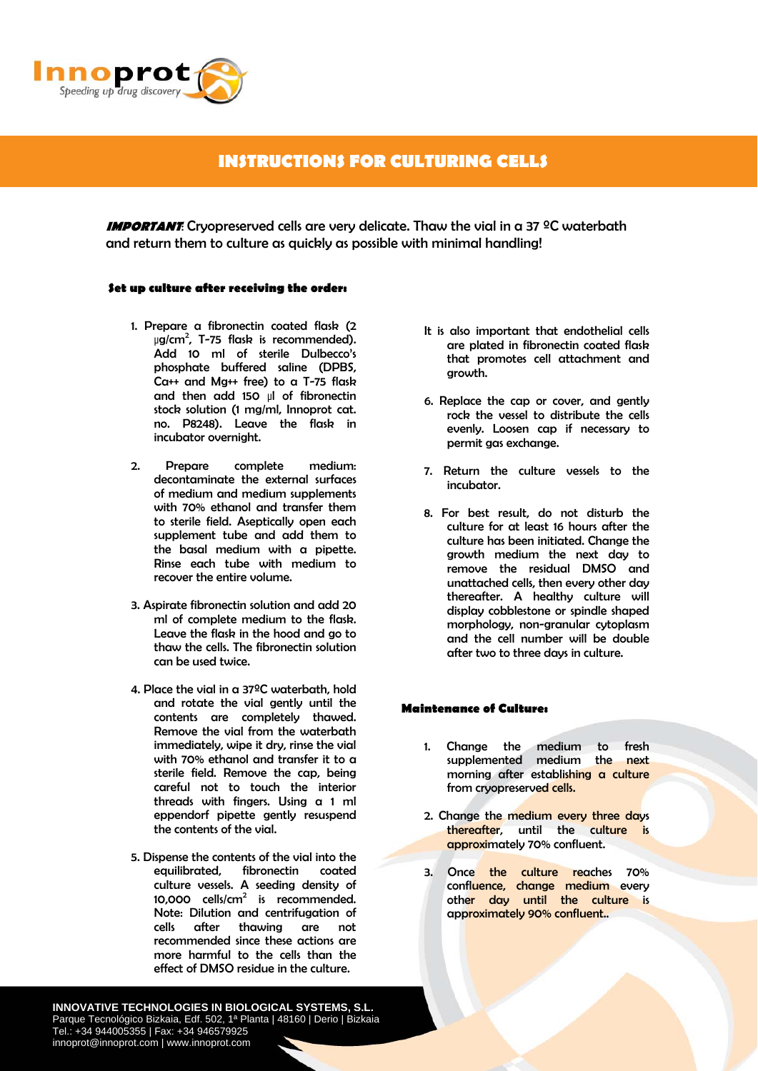

## **INSTRUCTIONS FOR CULTURING CELLS**

**IMPORTANT:** Cryopreserved cells are very delicate. Thaw the vial in a 37 <sup>o</sup>C waterbath and return them to culture as quickly as possible with minimal handling!

#### **Set up culture after receiving the order:**

- 1. Prepare a fibronectin coated flask (2 μg/cm<sup>2</sup>, T-75 flask is recommended). Add 10 ml of sterile Dulbecco's phosphate buffered saline (DPBS, Ca++ and Mg++ free) to a T-75 flask and then add 150 μl of fibronectin stock solution (1 mg/ml, Innoprot cat. no. P8248). Leave the flask in incubator overnight.
- 2. Prepare complete medium: decontaminate the external surfaces of medium and medium supplements with 70% ethanol and transfer them to sterile field. Aseptically open each supplement tube and add them to the basal medium with a pipette. Rinse each tube with medium to recover the entire volume.
- 3. Aspirate fibronectin solution and add 20 ml of complete medium to the flask. Leave the flask in the hood and go to thaw the cells. The fibronectin solution can be used twice.
- 4. Place the vial in a 37ºC waterbath, hold and rotate the vial gently until the contents are completely thawed. Remove the vial from the waterbath immediately, wipe it dry, rinse the vial with 70% ethanol and transfer it to a sterile field. Remove the cap, being careful not to touch the interior threads with fingers. Using a 1 ml eppendorf pipette gently resuspend the contents of the vial.
- 5. Dispense the contents of the vial into the equilibrated, fibronectin coated culture vessels. A seeding density of 10,000  $\text{cells/cm}^2$  is recommended. Note: Dilution and centrifugation of cells after thawing are not recommended since these actions are more harmful to the cells than the effect of DMSO residue in the culture.
- It is also important that endothelial cells are plated in fibronectin coated flask that promotes cell attachment and growth.
- 6. Replace the cap or cover, and gently rock the vessel to distribute the cells evenly. Loosen cap if necessary to permit gas exchange.
- 7. Return the culture vessels to the incubator.
- 8. For best result, do not disturb the culture for at least 16 hours after the culture has been initiated. Change the growth medium the next day to remove the residual DMSO and unattached cells, then every other day thereafter. A healthy culture will display cobblestone or spindle shaped morphology, non-granular cytoplasm and the cell number will be double after two to three days in culture.

#### **Maintenance of Culture:**

- 1. Change the medium to fresh supplemented medium the next morning after establishing a culture from cryopreserved cells.
- 2. Change the medium every three days thereafter, until the culture is approximately 70% confluent.
- 3. Once the culture reaches 70% confluence, change medium every other day until the culture is approximately 90% confluent..